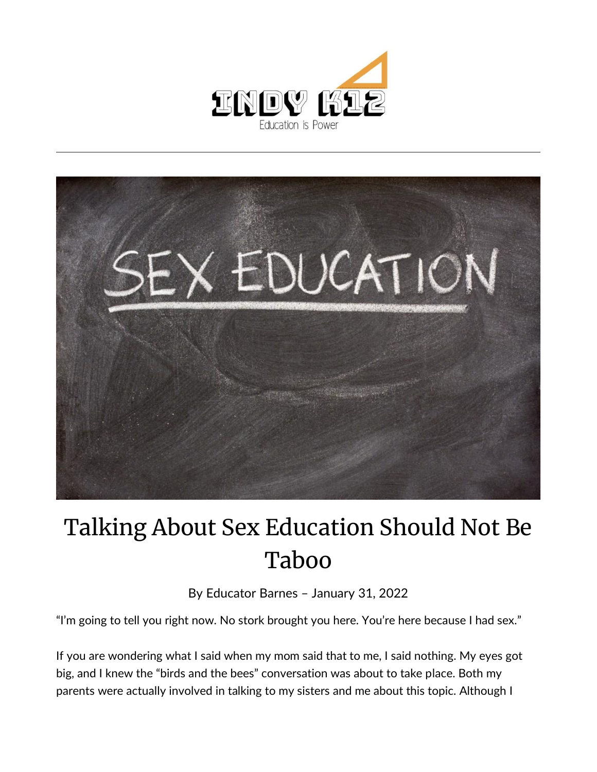



## Talking About Sex Education Should Not Be Taboo

By [Educator Barnes](https://indy.education/author/shicole/) – January 31, 2022

"I'm going to tell you right now. No stork brought you here. You're here because I had sex."

If you are wondering what I said when my mom said that to me, I said nothing. My eyes got big, and I knew the "birds and the bees" conversation was about to take place. Both my parents were actually involved in talking to my sisters and me about this topic. Although I